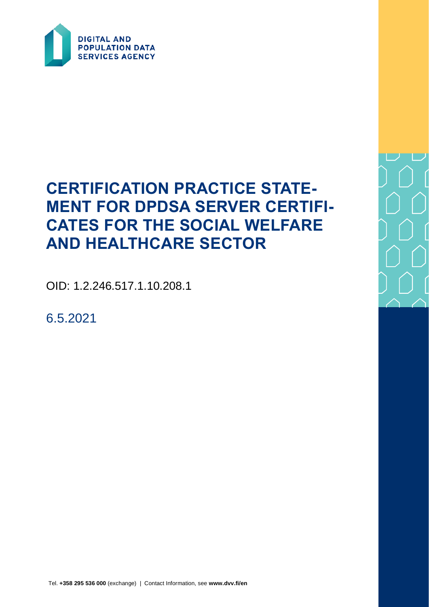

# **CERTIFICATION PRACTICE STATE-MENT FOR DPDSA SERVER CERTIFI-CATES FOR THE SOCIAL WELFARE AND HEALTHCARE SECTOR**

OID: 1.2.246.517.1.10.208.1

6.5.2021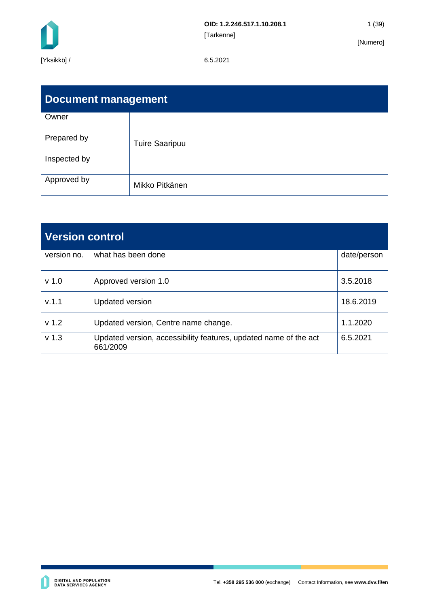

| <b>Document management</b> |                       |  |  |  |  |  |
|----------------------------|-----------------------|--|--|--|--|--|
| Owner                      |                       |  |  |  |  |  |
| Prepared by                | <b>Tuire Saaripuu</b> |  |  |  |  |  |
| Inspected by               |                       |  |  |  |  |  |
| Approved by                | Mikko Pitkänen        |  |  |  |  |  |

| <b>Version control</b> |                                                                              |             |  |  |
|------------------------|------------------------------------------------------------------------------|-------------|--|--|
| version no.            | what has been done                                                           | date/person |  |  |
| v <sub>1.0</sub>       | Approved version 1.0                                                         | 3.5.2018    |  |  |
| V.1.1                  | <b>Updated version</b>                                                       | 18.6.2019   |  |  |
| v <sub>1.2</sub>       | Updated version, Centre name change.                                         | 1.1.2020    |  |  |
| v <sub>1.3</sub>       | Updated version, accessibility features, updated name of the act<br>661/2009 | 6.5.2021    |  |  |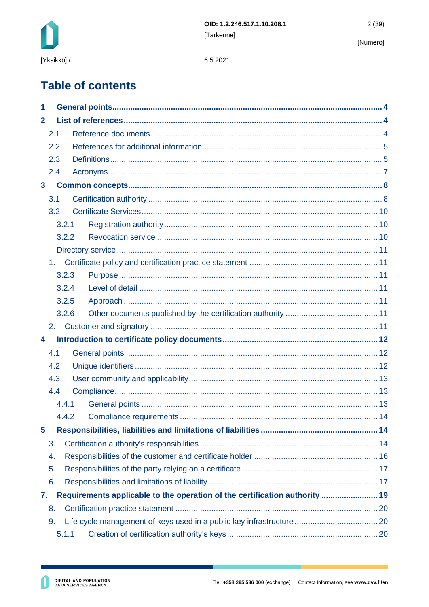

6.5.2021

# **Table of contents**

| 1                                                                                 |                |       |  |  |  |  |  |
|-----------------------------------------------------------------------------------|----------------|-------|--|--|--|--|--|
| $\mathbf{2}$                                                                      |                |       |  |  |  |  |  |
|                                                                                   | 2.1            |       |  |  |  |  |  |
|                                                                                   | 2.2            |       |  |  |  |  |  |
|                                                                                   | 2.3            |       |  |  |  |  |  |
|                                                                                   | 2.4            |       |  |  |  |  |  |
| $\mathbf{3}$                                                                      |                |       |  |  |  |  |  |
|                                                                                   | 3.1            |       |  |  |  |  |  |
|                                                                                   | 3.2            |       |  |  |  |  |  |
|                                                                                   |                | 3.2.1 |  |  |  |  |  |
|                                                                                   |                | 3.2.2 |  |  |  |  |  |
|                                                                                   |                |       |  |  |  |  |  |
|                                                                                   | 1 <sub>1</sub> |       |  |  |  |  |  |
|                                                                                   |                | 3.2.3 |  |  |  |  |  |
|                                                                                   |                | 3.2.4 |  |  |  |  |  |
|                                                                                   |                | 3.2.5 |  |  |  |  |  |
|                                                                                   |                | 3.2.6 |  |  |  |  |  |
|                                                                                   | 2.             |       |  |  |  |  |  |
| 4                                                                                 |                |       |  |  |  |  |  |
|                                                                                   | 4.1            |       |  |  |  |  |  |
| 4.2                                                                               |                |       |  |  |  |  |  |
| 4.3                                                                               |                |       |  |  |  |  |  |
| 4.4                                                                               |                |       |  |  |  |  |  |
|                                                                                   |                | 4.4.1 |  |  |  |  |  |
|                                                                                   |                | 4.4.2 |  |  |  |  |  |
| 5                                                                                 |                |       |  |  |  |  |  |
|                                                                                   | 3.             |       |  |  |  |  |  |
|                                                                                   | 4.             |       |  |  |  |  |  |
|                                                                                   | 5.             |       |  |  |  |  |  |
|                                                                                   | 6.             |       |  |  |  |  |  |
| Requirements applicable to the operation of the certification authority  19<br>7. |                |       |  |  |  |  |  |
|                                                                                   | 8.             |       |  |  |  |  |  |
| 9.                                                                                |                |       |  |  |  |  |  |
| 5.1.1                                                                             |                |       |  |  |  |  |  |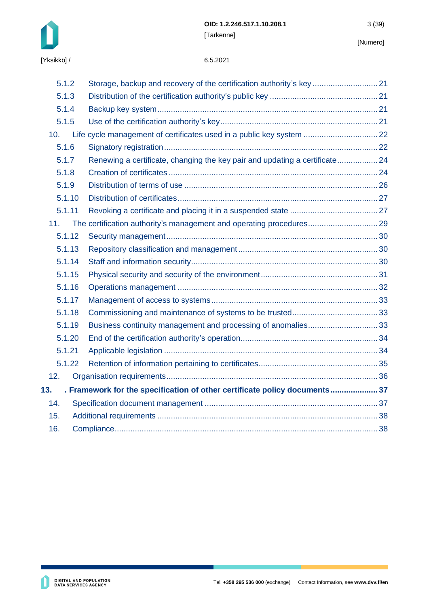

| 5.1.2  | Storage, backup and recovery of the certification authority's key 21        |  |
|--------|-----------------------------------------------------------------------------|--|
| 5.1.3  |                                                                             |  |
| 5.1.4  |                                                                             |  |
| 5.1.5  |                                                                             |  |
| 10.    | Life cycle management of certificates used in a public key system  22       |  |
| 5.1.6  |                                                                             |  |
| 5.1.7  | Renewing a certificate, changing the key pair and updating a certificate 24 |  |
| 5.1.8  |                                                                             |  |
| 5.1.9  |                                                                             |  |
| 5.1.10 |                                                                             |  |
| 5.1.11 |                                                                             |  |
| 11.    | The certification authority's management and operating procedures 29        |  |
| 5.1.12 |                                                                             |  |
| 5.1.13 |                                                                             |  |
| 5.1.14 |                                                                             |  |
| 5.1.15 |                                                                             |  |
| 5.1.16 |                                                                             |  |
| 5.1.17 |                                                                             |  |
| 5.1.18 |                                                                             |  |
| 5.1.19 |                                                                             |  |
| 5.1.20 |                                                                             |  |
| 5.1.21 |                                                                             |  |
| 5.1.22 |                                                                             |  |
| 12.    |                                                                             |  |
| 13.    | . Framework for the specification of other certificate policy documents 37  |  |
| 14.    |                                                                             |  |
| 15.    |                                                                             |  |
| 16.    |                                                                             |  |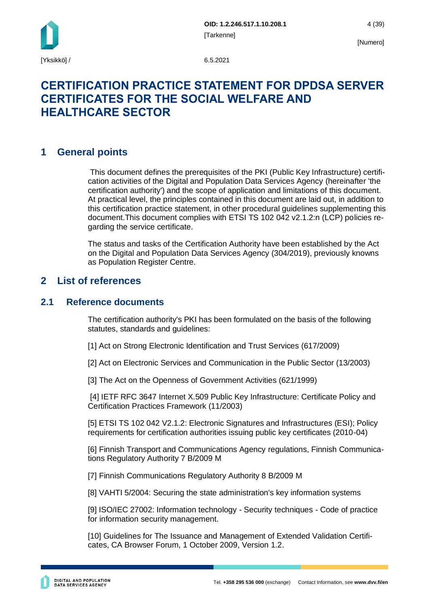

## **CERTIFICATION PRACTICE STATEMENT FOR DPDSA SERVER CERTIFICATES FOR THE SOCIAL WELFARE AND HEALTHCARE SECTOR**

## <span id="page-4-0"></span>**1 General points**

This document defines the prerequisites of the PKI (Public Key Infrastructure) certification activities of the Digital and Population Data Services Agency (hereinafter 'the certification authority') and the scope of application and limitations of this document. At practical level, the principles contained in this document are laid out, in addition to this certification practice statement, in other procedural guidelines supplementing this document.This document complies with ETSI TS 102 042 v2.1.2:n (LCP) policies regarding the service certificate.

The status and tasks of the Certification Authority have been established by the Act on the Digital and Population Data Services Agency (304/2019), previously knowns as Population Register Centre.

## <span id="page-4-1"></span>**2 List of references**

## <span id="page-4-2"></span>**2.1 Reference documents**

The certification authority's PKI has been formulated on the basis of the following statutes, standards and guidelines:

[1] Act on Strong Electronic Identification and Trust Services (617/2009)

[2] Act on Electronic Services and Communication in the Public Sector (13/2003)

[3] The Act on the Openness of Government Activities (621/1999)

[4] IETF RFC 3647 Internet X.509 Public Key Infrastructure: Certificate Policy and Certification Practices Framework (11/2003)

[5] ETSI TS 102 042 V2.1.2: Electronic Signatures and Infrastructures (ESI); Policy requirements for certification authorities issuing public key certificates (2010-04)

[6] Finnish Transport and Communications Agency regulations, Finnish Communications Regulatory Authority 7 B/2009 M

[7] Finnish Communications Regulatory Authority 8 B/2009 M

[8] VAHTI 5/2004: Securing the state administration's key information systems

[9] ISO/IEC 27002: Information technology - Security techniques - Code of practice for information security management.

[10] Guidelines for The Issuance and Management of Extended Validation Certificates, CA Browser Forum, 1 October 2009, Version 1.2.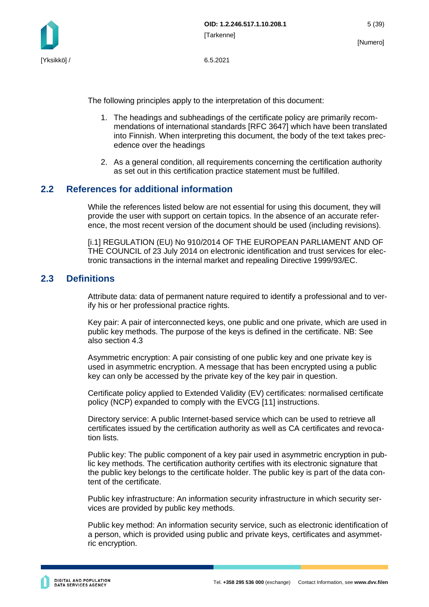

The following principles apply to the interpretation of this document:

- 1. The headings and subheadings of the certificate policy are primarily recommendations of international standards [RFC 3647] which have been translated into Finnish. When interpreting this document, the body of the text takes precedence over the headings
- 2. As a general condition, all requirements concerning the certification authority as set out in this certification practice statement must be fulfilled.

## <span id="page-5-0"></span>**2.2 References for additional information**

While the references listed below are not essential for using this document, they will provide the user with support on certain topics. In the absence of an accurate reference, the most recent version of the document should be used (including revisions).

[i.1] REGULATION (EU) No 910/2014 OF THE EUROPEAN PARLIAMENT AND OF THE COUNCIL of 23 July 2014 on electronic identification and trust services for electronic transactions in the internal market and repealing Directive 1999/93/EC.

### <span id="page-5-1"></span>**2.3 Definitions**

Attribute data: data of permanent nature required to identify a professional and to verify his or her professional practice rights.

Key pair: A pair of interconnected keys, one public and one private, which are used in public key methods. The purpose of the keys is defined in the certificate. NB: See also section 4.3

Asymmetric encryption: A pair consisting of one public key and one private key is used in asymmetric encryption. A message that has been encrypted using a public key can only be accessed by the private key of the key pair in question.

Certificate policy applied to Extended Validity (EV) certificates: normalised certificate policy (NCP) expanded to comply with the EVCG [11] instructions.

Directory service: A public Internet-based service which can be used to retrieve all certificates issued by the certification authority as well as CA certificates and revocation lists.

Public key: The public component of a key pair used in asymmetric encryption in public key methods. The certification authority certifies with its electronic signature that the public key belongs to the certificate holder. The public key is part of the data content of the certificate.

Public key infrastructure: An information security infrastructure in which security services are provided by public key methods.

Public key method: An information security service, such as electronic identification of a person, which is provided using public and private keys, certificates and asymmetric encryption.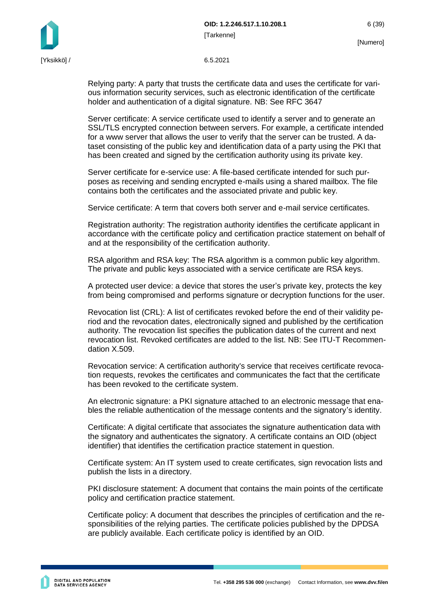

Relying party: A party that trusts the certificate data and uses the certificate for various information security services, such as electronic identification of the certificate holder and authentication of a digital signature. NB: See RFC 3647

Server certificate: A service certificate used to identify a server and to generate an SSL/TLS encrypted connection between servers. For example, a certificate intended for a www server that allows the user to verify that the server can be trusted. A dataset consisting of the public key and identification data of a party using the PKI that has been created and signed by the certification authority using its private key.

Server certificate for e-service use: A file-based certificate intended for such purposes as receiving and sending encrypted e-mails using a shared mailbox. The file contains both the certificates and the associated private and public key.

Service certificate: A term that covers both server and e-mail service certificates.

Registration authority: The registration authority identifies the certificate applicant in accordance with the certificate policy and certification practice statement on behalf of and at the responsibility of the certification authority.

RSA algorithm and RSA key: The RSA algorithm is a common public key algorithm. The private and public keys associated with a service certificate are RSA keys.

A protected user device: a device that stores the user's private key, protects the key from being compromised and performs signature or decryption functions for the user.

Revocation list (CRL): A list of certificates revoked before the end of their validity period and the revocation dates, electronically signed and published by the certification authority. The revocation list specifies the publication dates of the current and next revocation list. Revoked certificates are added to the list. NB: See ITU-T Recommendation X.509.

Revocation service: A certification authority's service that receives certificate revocation requests, revokes the certificates and communicates the fact that the certificate has been revoked to the certificate system.

An electronic signature: a PKI signature attached to an electronic message that enables the reliable authentication of the message contents and the signatory's identity.

Certificate: A digital certificate that associates the signature authentication data with the signatory and authenticates the signatory. A certificate contains an OID (object identifier) that identifies the certification practice statement in question.

Certificate system: An IT system used to create certificates, sign revocation lists and publish the lists in a directory.

PKI disclosure statement: A document that contains the main points of the certificate policy and certification practice statement.

Certificate policy: A document that describes the principles of certification and the responsibilities of the relying parties. The certificate policies published by the DPDSA are publicly available. Each certificate policy is identified by an OID.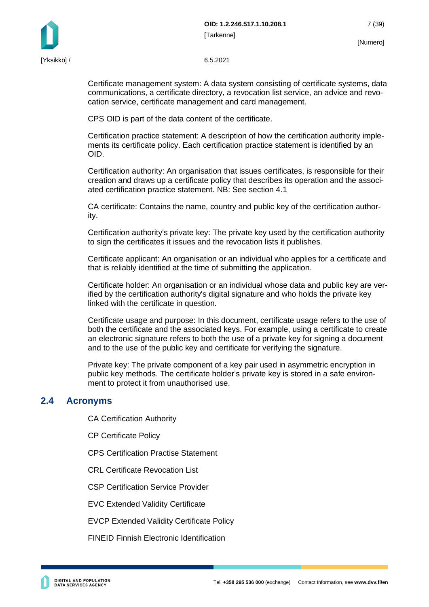

Certificate management system: A data system consisting of certificate systems, data communications, a certificate directory, a revocation list service, an advice and revocation service, certificate management and card management.

CPS OID is part of the data content of the certificate.

Certification practice statement: A description of how the certification authority implements its certificate policy. Each certification practice statement is identified by an OID.

Certification authority: An organisation that issues certificates, is responsible for their creation and draws up a certificate policy that describes its operation and the associated certification practice statement. NB: See section 4.1

CA certificate: Contains the name, country and public key of the certification authority.

Certification authority's private key: The private key used by the certification authority to sign the certificates it issues and the revocation lists it publishes.

Certificate applicant: An organisation or an individual who applies for a certificate and that is reliably identified at the time of submitting the application.

Certificate holder: An organisation or an individual whose data and public key are verified by the certification authority's digital signature and who holds the private key linked with the certificate in question.

Certificate usage and purpose: In this document, certificate usage refers to the use of both the certificate and the associated keys. For example, using a certificate to create an electronic signature refers to both the use of a private key for signing a document and to the use of the public key and certificate for verifying the signature.

Private key: The private component of a key pair used in asymmetric encryption in public key methods. The certificate holder's private key is stored in a safe environment to protect it from unauthorised use.

### <span id="page-7-0"></span>**2.4 Acronyms**

CA Certification Authority

CP Certificate Policy

CPS Certification Practise Statement

CRL Certificate Revocation List

CSP Certification Service Provider

EVC Extended Validity Certificate

EVCP Extended Validity Certificate Policy

FINEID Finnish Electronic Identification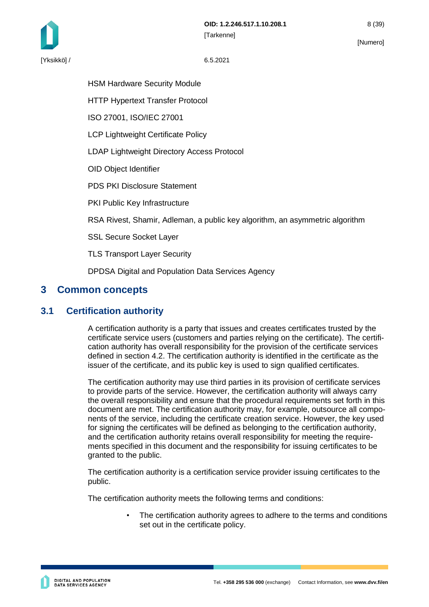HSM Hardware Security Module

HTTP Hypertext Transfer Protocol

ISO 27001, ISO/IEC 27001

LCP Lightweight Certificate Policy

LDAP Lightweight Directory Access Protocol

OID Object Identifier

PDS PKI Disclosure Statement

PKI Public Key Infrastructure

RSA Rivest, Shamir, Adleman, a public key algorithm, an asymmetric algorithm

SSL Secure Socket Layer

TLS Transport Layer Security

DPDSA Digital and Population Data Services Agency

## <span id="page-8-0"></span>**3 Common concepts**

## <span id="page-8-1"></span>**3.1 Certification authority**

A certification authority is a party that issues and creates certificates trusted by the certificate service users (customers and parties relying on the certificate). The certification authority has overall responsibility for the provision of the certificate services defined in section 4.2. The certification authority is identified in the certificate as the issuer of the certificate, and its public key is used to sign qualified certificates.

The certification authority may use third parties in its provision of certificate services to provide parts of the service. However, the certification authority will always carry the overall responsibility and ensure that the procedural requirements set forth in this document are met. The certification authority may, for example, outsource all components of the service, including the certificate creation service. However, the key used for signing the certificates will be defined as belonging to the certification authority, and the certification authority retains overall responsibility for meeting the requirements specified in this document and the responsibility for issuing certificates to be granted to the public.

The certification authority is a certification service provider issuing certificates to the public.

The certification authority meets the following terms and conditions:

The certification authority agrees to adhere to the terms and conditions set out in the certificate policy.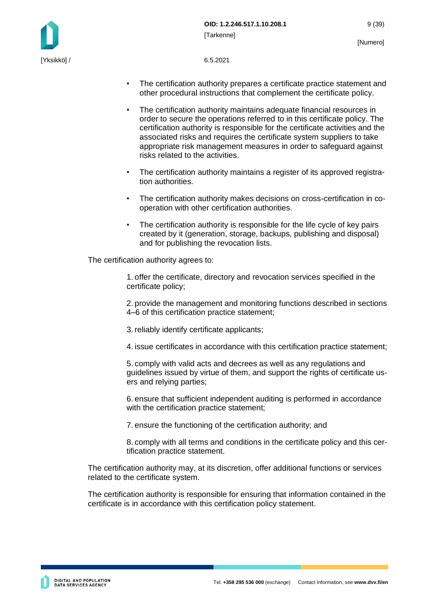

- The certification authority prepares a certificate practice statement and other procedural instructions that complement the certificate policy.
- The certification authority maintains adequate financial resources in order to secure the operations referred to in this certificate policy. The certification authority is responsible for the certificate activities and the associated risks and requires the certificate system suppliers to take appropriate risk management measures in order to safeguard against risks related to the activities.
- The certification authority maintains a register of its approved registration authorities.
- The certification authority makes decisions on cross-certification in cooperation with other certification authorities.
- The certification authority is responsible for the life cycle of key pairs created by it (generation, storage, backups, publishing and disposal) and for publishing the revocation lists.

The certification authority agrees to:

1. offer the certificate, directory and revocation services specified in the certificate policy;

2. provide the management and monitoring functions described in sections 4–6 of this certification practice statement;

3. reliably identify certificate applicants;

4. issue certificates in accordance with this certification practice statement;

5. comply with valid acts and decrees as well as any regulations and guidelines issued by virtue of them, and support the rights of certificate users and relying parties;

6. ensure that sufficient independent auditing is performed in accordance with the certification practice statement;

7. ensure the functioning of the certification authority; and

8. comply with all terms and conditions in the certificate policy and this certification practice statement.

The certification authority may, at its discretion, offer additional functions or services related to the certificate system.

The certification authority is responsible for ensuring that information contained in the certificate is in accordance with this certification policy statement.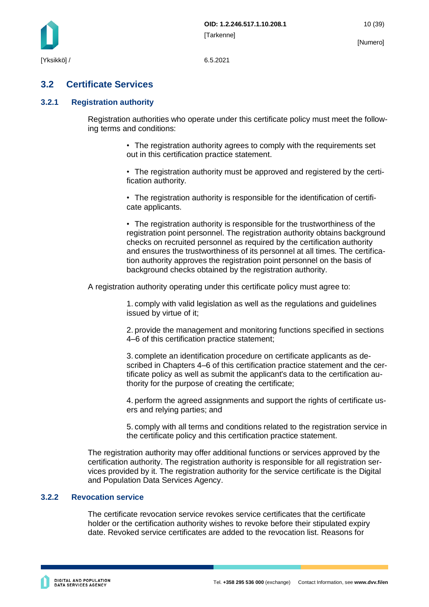

## <span id="page-10-0"></span>**3.2 Certificate Services**

#### <span id="page-10-1"></span>**3.2.1 Registration authority**

Registration authorities who operate under this certificate policy must meet the following terms and conditions:

> • The registration authority agrees to comply with the requirements set out in this certification practice statement.

• The registration authority must be approved and registered by the certification authority.

• The registration authority is responsible for the identification of certificate applicants.

• The registration authority is responsible for the trustworthiness of the registration point personnel. The registration authority obtains background checks on recruited personnel as required by the certification authority and ensures the trustworthiness of its personnel at all times. The certification authority approves the registration point personnel on the basis of background checks obtained by the registration authority.

A registration authority operating under this certificate policy must agree to:

1. comply with valid legislation as well as the regulations and guidelines issued by virtue of it;

2. provide the management and monitoring functions specified in sections 4–6 of this certification practice statement;

3. complete an identification procedure on certificate applicants as described in Chapters 4–6 of this certification practice statement and the certificate policy as well as submit the applicant's data to the certification authority for the purpose of creating the certificate;

4. perform the agreed assignments and support the rights of certificate users and relying parties; and

5. comply with all terms and conditions related to the registration service in the certificate policy and this certification practice statement.

The registration authority may offer additional functions or services approved by the certification authority. The registration authority is responsible for all registration services provided by it. The registration authority for the service certificate is the Digital and Population Data Services Agency.

### <span id="page-10-2"></span>**3.2.2 Revocation service**

The certificate revocation service revokes service certificates that the certificate holder or the certification authority wishes to revoke before their stipulated expiry date. Revoked service certificates are added to the revocation list. Reasons for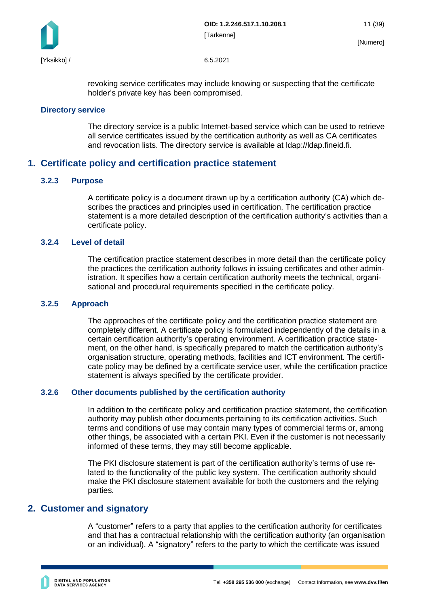

revoking service certificates may include knowing or suspecting that the certificate holder's private key has been compromised.

#### <span id="page-11-0"></span>**Directory service**

The directory service is a public Internet-based service which can be used to retrieve all service certificates issued by the certification authority as well as CA certificates and revocation lists. The directory service is available at ldap://ldap.fineid.fi.

## <span id="page-11-1"></span>**1. Certificate policy and certification practice statement**

#### <span id="page-11-2"></span>**3.2.3 Purpose**

A certificate policy is a document drawn up by a certification authority (CA) which describes the practices and principles used in certification. The certification practice statement is a more detailed description of the certification authority's activities than a certificate policy.

#### <span id="page-11-3"></span>**3.2.4 Level of detail**

The certification practice statement describes in more detail than the certificate policy the practices the certification authority follows in issuing certificates and other administration. It specifies how a certain certification authority meets the technical, organisational and procedural requirements specified in the certificate policy.

#### <span id="page-11-4"></span>**3.2.5 Approach**

The approaches of the certificate policy and the certification practice statement are completely different. A certificate policy is formulated independently of the details in a certain certification authority's operating environment. A certification practice statement, on the other hand, is specifically prepared to match the certification authority's organisation structure, operating methods, facilities and ICT environment. The certificate policy may be defined by a certificate service user, while the certification practice statement is always specified by the certificate provider.

#### <span id="page-11-5"></span>**3.2.6 Other documents published by the certification authority**

In addition to the certificate policy and certification practice statement, the certification authority may publish other documents pertaining to its certification activities. Such terms and conditions of use may contain many types of commercial terms or, among other things, be associated with a certain PKI. Even if the customer is not necessarily informed of these terms, they may still become applicable.

The PKI disclosure statement is part of the certification authority's terms of use related to the functionality of the public key system. The certification authority should make the PKI disclosure statement available for both the customers and the relying parties.

### <span id="page-11-6"></span>**2. Customer and signatory**

A "customer" refers to a party that applies to the certification authority for certificates and that has a contractual relationship with the certification authority (an organisation or an individual). A "signatory" refers to the party to which the certificate was issued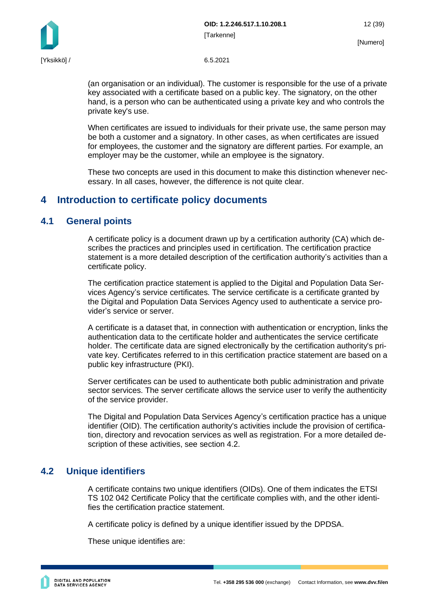

(an organisation or an individual). The customer is responsible for the use of a private key associated with a certificate based on a public key. The signatory, on the other hand, is a person who can be authenticated using a private key and who controls the private key's use.

When certificates are issued to individuals for their private use, the same person may be both a customer and a signatory. In other cases, as when certificates are issued for employees, the customer and the signatory are different parties. For example, an employer may be the customer, while an employee is the signatory.

These two concepts are used in this document to make this distinction whenever necessary. In all cases, however, the difference is not quite clear.

## <span id="page-12-0"></span>**4 Introduction to certificate policy documents**

## <span id="page-12-1"></span>**4.1 General points**

A certificate policy is a document drawn up by a certification authority (CA) which describes the practices and principles used in certification. The certification practice statement is a more detailed description of the certification authority's activities than a certificate policy.

The certification practice statement is applied to the Digital and Population Data Services Agency's service certificates. The service certificate is a certificate granted by the Digital and Population Data Services Agency used to authenticate a service provider's service or server.

A certificate is a dataset that, in connection with authentication or encryption, links the authentication data to the certificate holder and authenticates the service certificate holder. The certificate data are signed electronically by the certification authority's private key. Certificates referred to in this certification practice statement are based on a public key infrastructure (PKI).

Server certificates can be used to authenticate both public administration and private sector services. The server certificate allows the service user to verify the authenticity of the service provider.

The Digital and Population Data Services Agency's certification practice has a unique identifier (OID). The certification authority's activities include the provision of certification, directory and revocation services as well as registration. For a more detailed description of these activities, see section 4.2.

## <span id="page-12-2"></span>**4.2 Unique identifiers**

A certificate contains two unique identifiers (OIDs). One of them indicates the ETSI TS 102 042 Certificate Policy that the certificate complies with, and the other identifies the certification practice statement.

A certificate policy is defined by a unique identifier issued by the DPDSA.

These unique identifies are: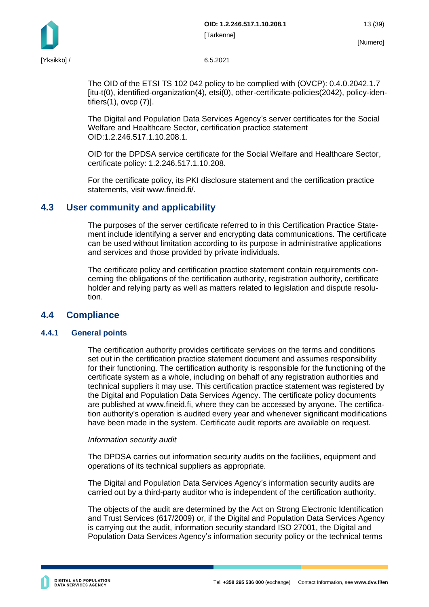



The OID of the ETSI TS 102 042 policy to be complied with (OVCP): 0.4.0.2042.1.7 [itu-t(0), identified-organization(4), etsi(0), other-certificate-policies(2042), policy-identifiers(1), ovcp (7)].

The Digital and Population Data Services Agency's server certificates for the Social Welfare and Healthcare Sector, certification practice statement OID:1.2.246.517.1.10.208.1.

OID for the DPDSA service certificate for the Social Welfare and Healthcare Sector, certificate policy: 1.2.246.517.1.10.208.

For the certificate policy, its PKI disclosure statement and the certification practice statements, visit www.fineid.fi/.

## <span id="page-13-0"></span>**4.3 User community and applicability**

The purposes of the server certificate referred to in this Certification Practice Statement include identifying a server and encrypting data communications. The certificate can be used without limitation according to its purpose in administrative applications and services and those provided by private individuals.

The certificate policy and certification practice statement contain requirements concerning the obligations of the certification authority, registration authority, certificate holder and relying party as well as matters related to legislation and dispute resolution.

### <span id="page-13-1"></span>**4.4 Compliance**

#### <span id="page-13-2"></span>**4.4.1 General points**

The certification authority provides certificate services on the terms and conditions set out in the certification practice statement document and assumes responsibility for their functioning. The certification authority is responsible for the functioning of the certificate system as a whole, including on behalf of any registration authorities and technical suppliers it may use. This certification practice statement was registered by the Digital and Population Data Services Agency. The certificate policy documents are published at www.fineid.fi, where they can be accessed by anyone. The certification authority's operation is audited every year and whenever significant modifications have been made in the system. Certificate audit reports are available on request.

#### *Information security audit*

The DPDSA carries out information security audits on the facilities, equipment and operations of its technical suppliers as appropriate.

The Digital and Population Data Services Agency's information security audits are carried out by a third-party auditor who is independent of the certification authority.

The objects of the audit are determined by the Act on Strong Electronic Identification and Trust Services (617/2009) or, if the Digital and Population Data Services Agency is carrying out the audit, information security standard ISO 27001, the Digital and Population Data Services Agency's information security policy or the technical terms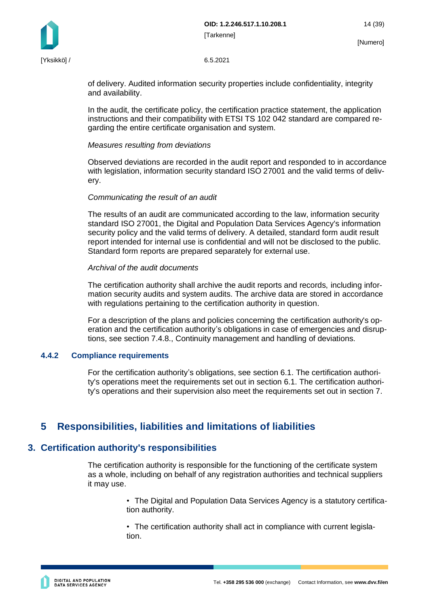**OID: 1.2.246.517.1.10.208.1** 14 (39) [Tarkenne]

[Yksikkö] / 6.5.2021

of delivery. Audited information security properties include confidentiality, integrity and availability.

In the audit, the certificate policy, the certification practice statement, the application instructions and their compatibility with ETSI TS 102 042 standard are compared regarding the entire certificate organisation and system.

#### *Measures resulting from deviations*

Observed deviations are recorded in the audit report and responded to in accordance with legislation, information security standard ISO 27001 and the valid terms of delivery.

#### *Communicating the result of an audit*

The results of an audit are communicated according to the law, information security standard ISO 27001, the Digital and Population Data Services Agency's information security policy and the valid terms of delivery. A detailed, standard form audit result report intended for internal use is confidential and will not be disclosed to the public. Standard form reports are prepared separately for external use.

#### *Archival of the audit documents*

The certification authority shall archive the audit reports and records, including information security audits and system audits. The archive data are stored in accordance with regulations pertaining to the certification authority in question.

For a description of the plans and policies concerning the certification authority's operation and the certification authority's obligations in case of emergencies and disruptions, see section 7.4.8., Continuity management and handling of deviations.

#### <span id="page-14-0"></span>**4.4.2 Compliance requirements**

For the certification authority's obligations, see section 6.1. The certification authority's operations meet the requirements set out in section 6.1. The certification authority's operations and their supervision also meet the requirements set out in section 7.

## <span id="page-14-1"></span>**5 Responsibilities, liabilities and limitations of liabilities**

## <span id="page-14-2"></span>**3. Certification authority's responsibilities**

The certification authority is responsible for the functioning of the certificate system as a whole, including on behalf of any registration authorities and technical suppliers it may use.

> • The Digital and Population Data Services Agency is a statutory certification authority.

• The certification authority shall act in compliance with current legislation.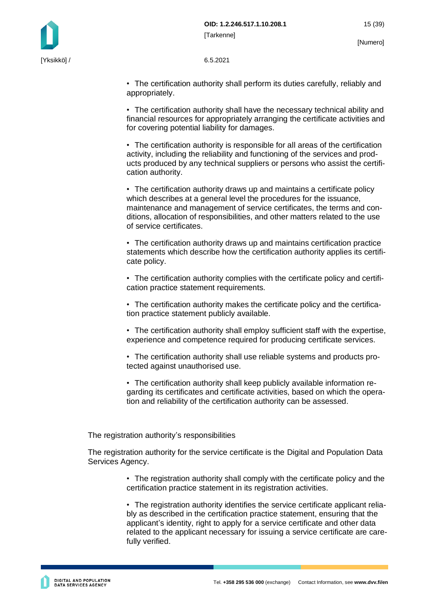

• The certification authority shall perform its duties carefully, reliably and appropriately.

• The certification authority shall have the necessary technical ability and financial resources for appropriately arranging the certificate activities and for covering potential liability for damages.

• The certification authority is responsible for all areas of the certification activity, including the reliability and functioning of the services and products produced by any technical suppliers or persons who assist the certification authority.

• The certification authority draws up and maintains a certificate policy which describes at a general level the procedures for the issuance. maintenance and management of service certificates, the terms and conditions, allocation of responsibilities, and other matters related to the use of service certificates.

• The certification authority draws up and maintains certification practice statements which describe how the certification authority applies its certificate policy.

• The certification authority complies with the certificate policy and certification practice statement requirements.

• The certification authority makes the certificate policy and the certification practice statement publicly available.

• The certification authority shall employ sufficient staff with the expertise, experience and competence required for producing certificate services.

• The certification authority shall use reliable systems and products protected against unauthorised use.

• The certification authority shall keep publicly available information regarding its certificates and certificate activities, based on which the operation and reliability of the certification authority can be assessed.

The registration authority's responsibilities

The registration authority for the service certificate is the Digital and Population Data Services Agency.

> • The registration authority shall comply with the certificate policy and the certification practice statement in its registration activities.

> • The registration authority identifies the service certificate applicant reliably as described in the certification practice statement, ensuring that the applicant's identity, right to apply for a service certificate and other data related to the applicant necessary for issuing a service certificate are carefully verified.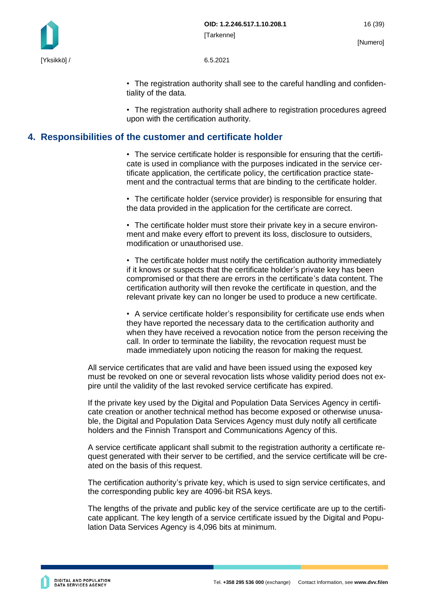

• The registration authority shall see to the careful handling and confidentiality of the data.

• The registration authority shall adhere to registration procedures agreed upon with the certification authority.

## <span id="page-16-0"></span>**4. Responsibilities of the customer and certificate holder**

• The service certificate holder is responsible for ensuring that the certificate is used in compliance with the purposes indicated in the service certificate application, the certificate policy, the certification practice statement and the contractual terms that are binding to the certificate holder.

• The certificate holder (service provider) is responsible for ensuring that the data provided in the application for the certificate are correct.

• The certificate holder must store their private key in a secure environment and make every effort to prevent its loss, disclosure to outsiders, modification or unauthorised use.

• The certificate holder must notify the certification authority immediately if it knows or suspects that the certificate holder's private key has been compromised or that there are errors in the certificate's data content. The certification authority will then revoke the certificate in question, and the relevant private key can no longer be used to produce a new certificate.

• A service certificate holder's responsibility for certificate use ends when they have reported the necessary data to the certification authority and when they have received a revocation notice from the person receiving the call. In order to terminate the liability, the revocation request must be made immediately upon noticing the reason for making the request.

All service certificates that are valid and have been issued using the exposed key must be revoked on one or several revocation lists whose validity period does not expire until the validity of the last revoked service certificate has expired.

If the private key used by the Digital and Population Data Services Agency in certificate creation or another technical method has become exposed or otherwise unusable, the Digital and Population Data Services Agency must duly notify all certificate holders and the Finnish Transport and Communications Agency of this.

A service certificate applicant shall submit to the registration authority a certificate request generated with their server to be certified, and the service certificate will be created on the basis of this request.

The certification authority's private key, which is used to sign service certificates, and the corresponding public key are 4096-bit RSA keys.

The lengths of the private and public key of the service certificate are up to the certificate applicant. The key length of a service certificate issued by the Digital and Population Data Services Agency is 4,096 bits at minimum.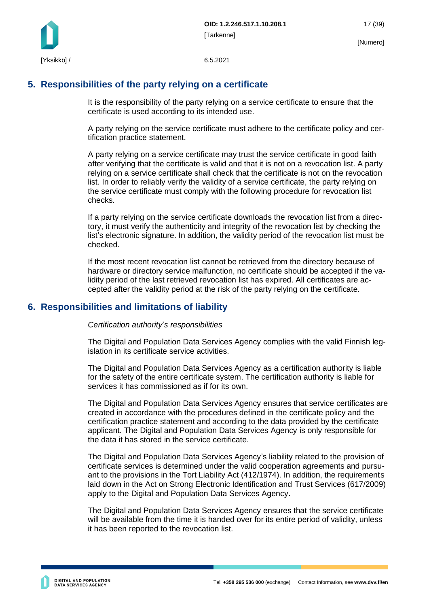

## <span id="page-17-0"></span>**5. Responsibilities of the party relying on a certificate**

It is the responsibility of the party relying on a service certificate to ensure that the certificate is used according to its intended use.

A party relying on the service certificate must adhere to the certificate policy and certification practice statement.

A party relying on a service certificate may trust the service certificate in good faith after verifying that the certificate is valid and that it is not on a revocation list. A party relying on a service certificate shall check that the certificate is not on the revocation list. In order to reliably verify the validity of a service certificate, the party relying on the service certificate must comply with the following procedure for revocation list checks.

If a party relying on the service certificate downloads the revocation list from a directory, it must verify the authenticity and integrity of the revocation list by checking the list's electronic signature. In addition, the validity period of the revocation list must be checked.

If the most recent revocation list cannot be retrieved from the directory because of hardware or directory service malfunction, no certificate should be accepted if the validity period of the last retrieved revocation list has expired. All certificates are accepted after the validity period at the risk of the party relying on the certificate.

## <span id="page-17-1"></span>**6. Responsibilities and limitations of liability**

*Certification authority*'*s responsibilities*

The Digital and Population Data Services Agency complies with the valid Finnish legislation in its certificate service activities.

The Digital and Population Data Services Agency as a certification authority is liable for the safety of the entire certificate system. The certification authority is liable for services it has commissioned as if for its own.

The Digital and Population Data Services Agency ensures that service certificates are created in accordance with the procedures defined in the certificate policy and the certification practice statement and according to the data provided by the certificate applicant. The Digital and Population Data Services Agency is only responsible for the data it has stored in the service certificate.

The Digital and Population Data Services Agency's liability related to the provision of certificate services is determined under the valid cooperation agreements and pursuant to the provisions in the Tort Liability Act (412/1974). In addition, the requirements laid down in the Act on Strong Electronic Identification and Trust Services (617/2009) apply to the Digital and Population Data Services Agency.

The Digital and Population Data Services Agency ensures that the service certificate will be available from the time it is handed over for its entire period of validity, unless it has been reported to the revocation list.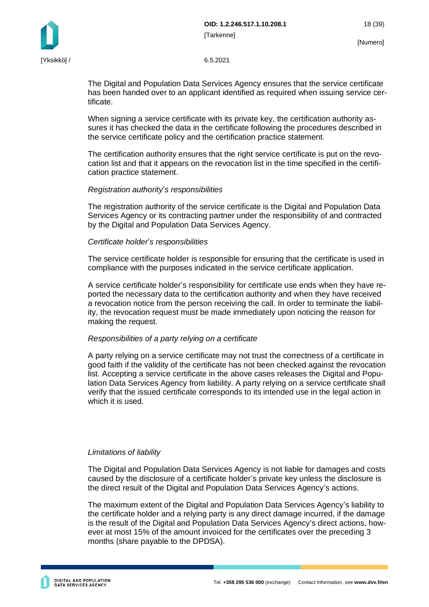The Digital and Population Data Services Agency ensures that the service certificate has been handed over to an applicant identified as required when issuing service certificate.

When signing a service certificate with its private key, the certification authority assures it has checked the data in the certificate following the procedures described in the service certificate policy and the certification practice statement.

The certification authority ensures that the right service certificate is put on the revocation list and that it appears on the revocation list in the time specified in the certification practice statement.

#### *Registration authority*'*s responsibilities*

The registration authority of the service certificate is the Digital and Population Data Services Agency or its contracting partner under the responsibility of and contracted by the Digital and Population Data Services Agency.

#### *Certificate holder*'*s responsibilities*

The service certificate holder is responsible for ensuring that the certificate is used in compliance with the purposes indicated in the service certificate application.

A service certificate holder's responsibility for certificate use ends when they have reported the necessary data to the certification authority and when they have received a revocation notice from the person receiving the call. In order to terminate the liability, the revocation request must be made immediately upon noticing the reason for making the request.

#### *Responsibilities of a party relying on a certificate*

A party relying on a service certificate may not trust the correctness of a certificate in good faith if the validity of the certificate has not been checked against the revocation list. Accepting a service certificate in the above cases releases the Digital and Population Data Services Agency from liability. A party relying on a service certificate shall verify that the issued certificate corresponds to its intended use in the legal action in which it is used.

#### *Limitations of liability*

The Digital and Population Data Services Agency is not liable for damages and costs caused by the disclosure of a certificate holder's private key unless the disclosure is the direct result of the Digital and Population Data Services Agency's actions.

The maximum extent of the Digital and Population Data Services Agency's liability to the certificate holder and a relying party is any direct damage incurred, if the damage is the result of the Digital and Population Data Services Agency's direct actions, however at most 15% of the amount invoiced for the certificates over the preceding 3 months (share payable to the DPDSA).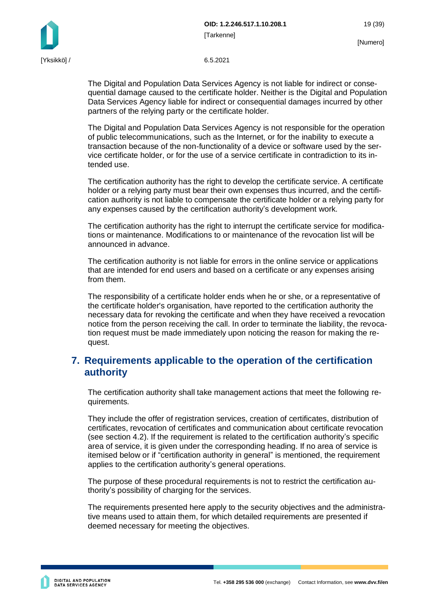**OID: 1.2.246.517.1.10.208.1** 19 (39) [Tarkenne]

The Digital and Population Data Services Agency is not liable for indirect or consequential damage caused to the certificate holder. Neither is the Digital and Population Data Services Agency liable for indirect or consequential damages incurred by other partners of the relying party or the certificate holder.

The Digital and Population Data Services Agency is not responsible for the operation of public telecommunications, such as the Internet, or for the inability to execute a transaction because of the non-functionality of a device or software used by the service certificate holder, or for the use of a service certificate in contradiction to its intended use.

The certification authority has the right to develop the certificate service. A certificate holder or a relying party must bear their own expenses thus incurred, and the certification authority is not liable to compensate the certificate holder or a relying party for any expenses caused by the certification authority's development work.

The certification authority has the right to interrupt the certificate service for modifications or maintenance. Modifications to or maintenance of the revocation list will be announced in advance.

The certification authority is not liable for errors in the online service or applications that are intended for end users and based on a certificate or any expenses arising from them.

The responsibility of a certificate holder ends when he or she, or a representative of the certificate holder's organisation, have reported to the certification authority the necessary data for revoking the certificate and when they have received a revocation notice from the person receiving the call. In order to terminate the liability, the revocation request must be made immediately upon noticing the reason for making the request.

## <span id="page-19-0"></span>**7. Requirements applicable to the operation of the certification authority**

The certification authority shall take management actions that meet the following requirements.

They include the offer of registration services, creation of certificates, distribution of certificates, revocation of certificates and communication about certificate revocation (see section 4.2). If the requirement is related to the certification authority's specific area of service, it is given under the corresponding heading. If no area of service is itemised below or if "certification authority in general" is mentioned, the requirement applies to the certification authority's general operations.

The purpose of these procedural requirements is not to restrict the certification authority's possibility of charging for the services.

The requirements presented here apply to the security objectives and the administrative means used to attain them, for which detailed requirements are presented if deemed necessary for meeting the objectives.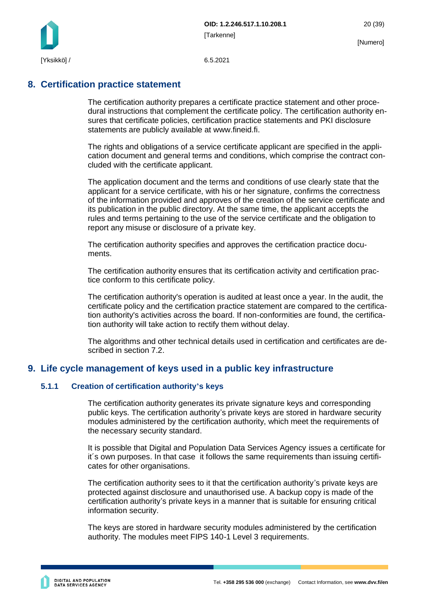

## <span id="page-20-0"></span>**8. Certification practice statement**

The certification authority prepares a certificate practice statement and other procedural instructions that complement the certificate policy. The certification authority ensures that certificate policies, certification practice statements and PKI disclosure statements are publicly available at www.fineid.fi.

The rights and obligations of a service certificate applicant are specified in the application document and general terms and conditions, which comprise the contract concluded with the certificate applicant.

The application document and the terms and conditions of use clearly state that the applicant for a service certificate, with his or her signature, confirms the correctness of the information provided and approves of the creation of the service certificate and its publication in the public directory. At the same time, the applicant accepts the rules and terms pertaining to the use of the service certificate and the obligation to report any misuse or disclosure of a private key.

The certification authority specifies and approves the certification practice documents.

The certification authority ensures that its certification activity and certification practice conform to this certificate policy.

The certification authority's operation is audited at least once a year. In the audit, the certificate policy and the certification practice statement are compared to the certification authority's activities across the board. If non-conformities are found, the certification authority will take action to rectify them without delay.

The algorithms and other technical details used in certification and certificates are described in section 7.2.

## <span id="page-20-1"></span>**9. Life cycle management of keys used in a public key infrastructure**

#### <span id="page-20-2"></span>**5.1.1 Creation of certification authority's keys**

The certification authority generates its private signature keys and corresponding public keys. The certification authority's private keys are stored in hardware security modules administered by the certification authority, which meet the requirements of the necessary security standard.

It is possible that Digital and Population Data Services Agency issues a certificate for it´s own purposes. In that case it follows the same requirements than issuing certificates for other organisations.

The certification authority sees to it that the certification authority's private keys are protected against disclosure and unauthorised use. A backup copy is made of the certification authority's private keys in a manner that is suitable for ensuring critical information security.

The keys are stored in hardware security modules administered by the certification authority. The modules meet FIPS 140-1 Level 3 requirements.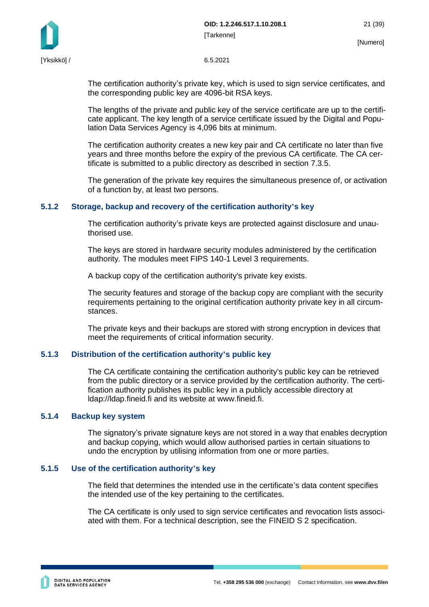



The certification authority's private key, which is used to sign service certificates, and the corresponding public key are 4096-bit RSA keys.

The lengths of the private and public key of the service certificate are up to the certificate applicant. The key length of a service certificate issued by the Digital and Population Data Services Agency is 4,096 bits at minimum.

The certification authority creates a new key pair and CA certificate no later than five years and three months before the expiry of the previous CA certificate. The CA certificate is submitted to a public directory as described in section 7.3.5.

The generation of the private key requires the simultaneous presence of, or activation of a function by, at least two persons.

#### <span id="page-21-0"></span>**5.1.2 Storage, backup and recovery of the certification authority's key**

The certification authority's private keys are protected against disclosure and unauthorised use.

The keys are stored in hardware security modules administered by the certification authority. The modules meet FIPS 140-1 Level 3 requirements.

A backup copy of the certification authority's private key exists.

The security features and storage of the backup copy are compliant with the security requirements pertaining to the original certification authority private key in all circumstances.

The private keys and their backups are stored with strong encryption in devices that meet the requirements of critical information security.

#### <span id="page-21-1"></span>**5.1.3 Distribution of the certification authority's public key**

The CA certificate containing the certification authority's public key can be retrieved from the public directory or a service provided by the certification authority. The certification authority publishes its public key in a publicly accessible directory at ldap://ldap.fineid.fi and its website at www.fineid.fi.

#### <span id="page-21-2"></span>**5.1.4 Backup key system**

The signatory's private signature keys are not stored in a way that enables decryption and backup copying, which would allow authorised parties in certain situations to undo the encryption by utilising information from one or more parties.

#### <span id="page-21-3"></span>**5.1.5 Use of the certification authority's key**

The field that determines the intended use in the certificate's data content specifies the intended use of the key pertaining to the certificates.

The CA certificate is only used to sign service certificates and revocation lists associated with them. For a technical description, see the FINEID S 2 specification.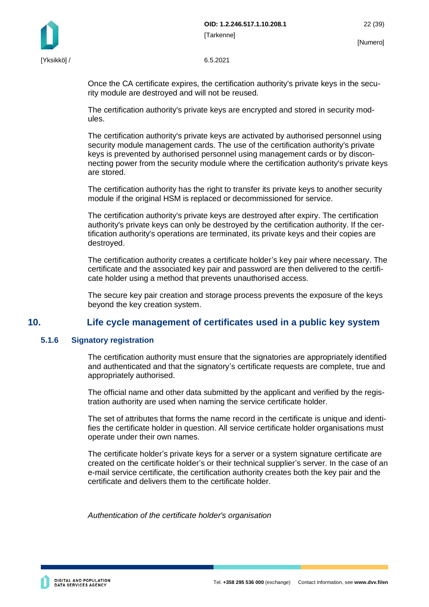

Once the CA certificate expires, the certification authority's private keys in the security module are destroyed and will not be reused.

The certification authority's private keys are encrypted and stored in security modules.

The certification authority's private keys are activated by authorised personnel using security module management cards. The use of the certification authority's private keys is prevented by authorised personnel using management cards or by disconnecting power from the security module where the certification authority's private keys are stored.

The certification authority has the right to transfer its private keys to another security module if the original HSM is replaced or decommissioned for service.

The certification authority's private keys are destroyed after expiry. The certification authority's private keys can only be destroyed by the certification authority. If the certification authority's operations are terminated, its private keys and their copies are destroyed.

The certification authority creates a certificate holder's key pair where necessary. The certificate and the associated key pair and password are then delivered to the certificate holder using a method that prevents unauthorised access.

<span id="page-22-0"></span>The secure key pair creation and storage process prevents the exposure of the keys beyond the key creation system.

## **10. Life cycle management of certificates used in a public key system**

#### <span id="page-22-1"></span>**5.1.6 Signatory registration**

The certification authority must ensure that the signatories are appropriately identified and authenticated and that the signatory's certificate requests are complete, true and appropriately authorised.

The official name and other data submitted by the applicant and verified by the registration authority are used when naming the service certificate holder.

The set of attributes that forms the name record in the certificate is unique and identifies the certificate holder in question. All service certificate holder organisations must operate under their own names.

The certificate holder's private keys for a server or a system signature certificate are created on the certificate holder's or their technical supplier's server. In the case of an e-mail service certificate, the certification authority creates both the key pair and the certificate and delivers them to the certificate holder.

*Authentication of the certificate holder's organisation*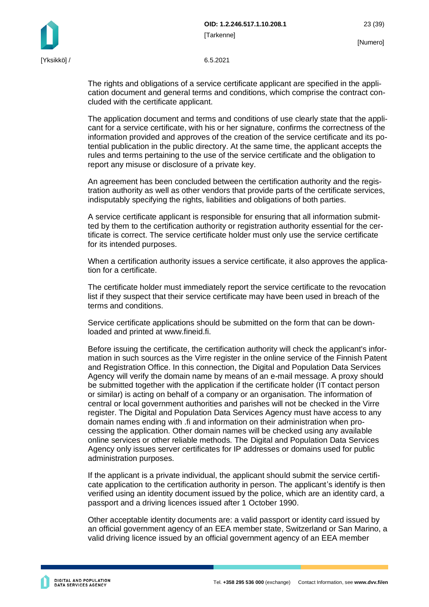The rights and obligations of a service certificate applicant are specified in the application document and general terms and conditions, which comprise the contract concluded with the certificate applicant.

The application document and terms and conditions of use clearly state that the applicant for a service certificate, with his or her signature, confirms the correctness of the information provided and approves of the creation of the service certificate and its potential publication in the public directory. At the same time, the applicant accepts the rules and terms pertaining to the use of the service certificate and the obligation to report any misuse or disclosure of a private key.

An agreement has been concluded between the certification authority and the registration authority as well as other vendors that provide parts of the certificate services, indisputably specifying the rights, liabilities and obligations of both parties.

A service certificate applicant is responsible for ensuring that all information submitted by them to the certification authority or registration authority essential for the certificate is correct. The service certificate holder must only use the service certificate for its intended purposes.

When a certification authority issues a service certificate, it also approves the application for a certificate.

The certificate holder must immediately report the service certificate to the revocation list if they suspect that their service certificate may have been used in breach of the terms and conditions.

Service certificate applications should be submitted on the form that can be downloaded and printed at www.fineid.fi.

Before issuing the certificate, the certification authority will check the applicant's information in such sources as the Virre register in the online service of the Finnish Patent and Registration Office. In this connection, the Digital and Population Data Services Agency will verify the domain name by means of an e-mail message. A proxy should be submitted together with the application if the certificate holder (IT contact person or similar) is acting on behalf of a company or an organisation. The information of central or local government authorities and parishes will not be checked in the Virre register. The Digital and Population Data Services Agency must have access to any domain names ending with .fi and information on their administration when processing the application. Other domain names will be checked using any available online services or other reliable methods. The Digital and Population Data Services Agency only issues server certificates for IP addresses or domains used for public administration purposes.

If the applicant is a private individual, the applicant should submit the service certificate application to the certification authority in person. The applicant's identify is then verified using an identity document issued by the police, which are an identity card, a passport and a driving licences issued after 1 October 1990.

Other acceptable identity documents are: a valid passport or identity card issued by an official government agency of an EEA member state, Switzerland or San Marino, a valid driving licence issued by an official government agency of an EEA member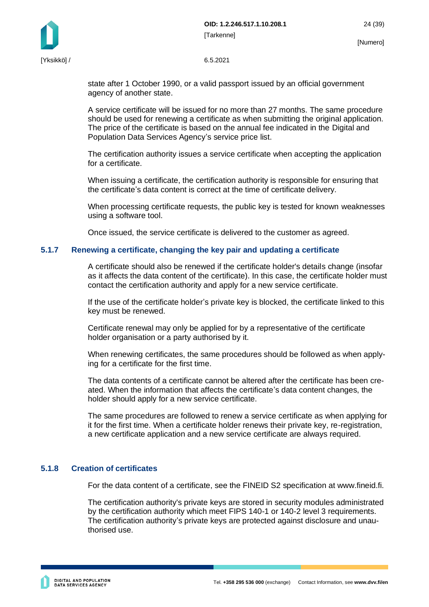



state after 1 October 1990, or a valid passport issued by an official government agency of another state.

A service certificate will be issued for no more than 27 months. The same procedure should be used for renewing a certificate as when submitting the original application. The price of the certificate is based on the annual fee indicated in the Digital and Population Data Services Agency's service price list.

The certification authority issues a service certificate when accepting the application for a certificate.

When issuing a certificate, the certification authority is responsible for ensuring that the certificate's data content is correct at the time of certificate delivery.

When processing certificate requests, the public key is tested for known weaknesses using a software tool.

Once issued, the service certificate is delivered to the customer as agreed.

#### <span id="page-24-0"></span>**5.1.7 Renewing a certificate, changing the key pair and updating a certificate**

A certificate should also be renewed if the certificate holder's details change (insofar as it affects the data content of the certificate). In this case, the certificate holder must contact the certification authority and apply for a new service certificate.

If the use of the certificate holder's private key is blocked, the certificate linked to this key must be renewed.

Certificate renewal may only be applied for by a representative of the certificate holder organisation or a party authorised by it.

When renewing certificates, the same procedures should be followed as when applying for a certificate for the first time.

The data contents of a certificate cannot be altered after the certificate has been created. When the information that affects the certificate's data content changes, the holder should apply for a new service certificate.

The same procedures are followed to renew a service certificate as when applying for it for the first time. When a certificate holder renews their private key, re-registration, a new certificate application and a new service certificate are always required.

#### <span id="page-24-1"></span>**5.1.8 Creation of certificates**

For the data content of a certificate, see the FINEID S2 specification at www.fineid.fi.

The certification authority's private keys are stored in security modules administrated by the certification authority which meet FIPS 140-1 or 140-2 level 3 requirements. The certification authority's private keys are protected against disclosure and unauthorised use.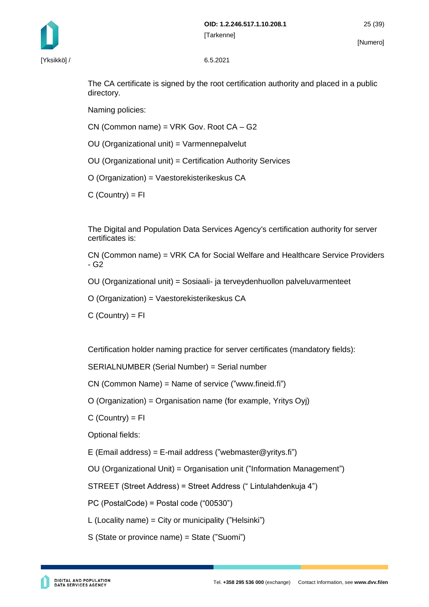

[Yksikkö] / 6.5.2021

The CA certificate is signed by the root certification authority and placed in a public directory.

Naming policies:

CN (Common name) = VRK Gov. Root CA – G2

OU (Organizational unit) = Varmennepalvelut

OU (Organizational unit) = Certification Authority Services

O (Organization) = Vaestorekisterikeskus CA

 $C$  (Country) =  $FI$ 

The Digital and Population Data Services Agency's certification authority for server certificates is:

CN (Common name) = VRK CA for Social Welfare and Healthcare Service Providers - G2

OU (Organizational unit) = Sosiaali- ja terveydenhuollon palveluvarmenteet

O (Organization) = Vaestorekisterikeskus CA

 $C$  (Country) =  $FI$ 

Certification holder naming practice for server certificates (mandatory fields):

SERIALNUMBER (Serial Number) = Serial number

CN (Common Name) = Name of service ("www.fineid.fi")

O (Organization) = Organisation name (for example, Yritys Oyj)

 $C$  (Country) =  $FI$ 

Optional fields:

E (Email address) = E-mail address ("webmaster@yritys.fi")

OU (Organizational Unit) = Organisation unit ("Information Management")

STREET (Street Address) = Street Address (" Lintulahdenkuja 4")

PC (PostalCode) = Postal code ("00530")

L (Locality name) = City or municipality ("Helsinki")

S (State or province name) = State ("Suomi")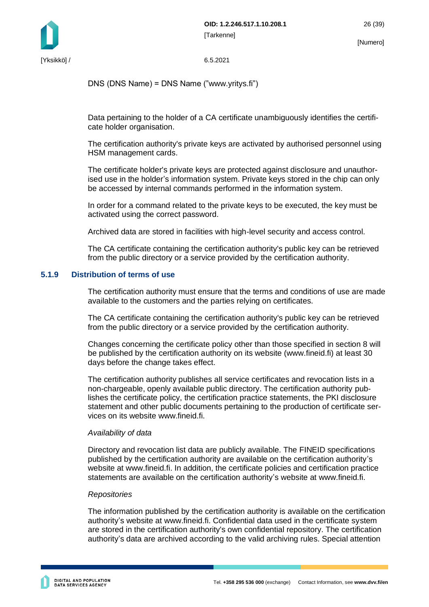

DNS (DNS Name) = DNS Name ("www.yritys.fi")

Data pertaining to the holder of a CA certificate unambiguously identifies the certificate holder organisation.

The certification authority's private keys are activated by authorised personnel using HSM management cards.

The certificate holder's private keys are protected against disclosure and unauthorised use in the holder's information system. Private keys stored in the chip can only be accessed by internal commands performed in the information system.

In order for a command related to the private keys to be executed, the key must be activated using the correct password.

Archived data are stored in facilities with high-level security and access control.

The CA certificate containing the certification authority's public key can be retrieved from the public directory or a service provided by the certification authority.

#### <span id="page-26-0"></span>**5.1.9 Distribution of terms of use**

The certification authority must ensure that the terms and conditions of use are made available to the customers and the parties relying on certificates.

The CA certificate containing the certification authority's public key can be retrieved from the public directory or a service provided by the certification authority.

Changes concerning the certificate policy other than those specified in section 8 will be published by the certification authority on its website (www.fineid.fi) at least 30 days before the change takes effect.

The certification authority publishes all service certificates and revocation lists in a non-chargeable, openly available public directory. The certification authority publishes the certificate policy, the certification practice statements, the PKI disclosure statement and other public documents pertaining to the production of certificate services on its website www.fineid.fi.

#### *Availability of data*

Directory and revocation list data are publicly available. The FINEID specifications published by the certification authority are available on the certification authority's website at www.fineid.fi. In addition, the certificate policies and certification practice statements are available on the certification authority's website at www.fineid.fi.

#### *Repositories*

The information published by the certification authority is available on the certification authority's website at www.fineid.fi. Confidential data used in the certificate system are stored in the certification authority's own confidential repository. The certification authority's data are archived according to the valid archiving rules. Special attention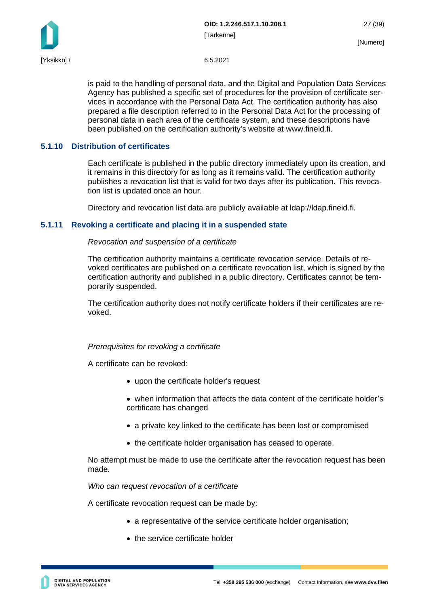

is paid to the handling of personal data, and the Digital and Population Data Services Agency has published a specific set of procedures for the provision of certificate services in accordance with the Personal Data Act. The certification authority has also prepared a file description referred to in the Personal Data Act for the processing of personal data in each area of the certificate system, and these descriptions have been published on the certification authority's website at www.fineid.fi.

#### <span id="page-27-0"></span>**5.1.10 Distribution of certificates**

Each certificate is published in the public directory immediately upon its creation, and it remains in this directory for as long as it remains valid. The certification authority publishes a revocation list that is valid for two days after its publication. This revocation list is updated once an hour.

Directory and revocation list data are publicly available at ldap://ldap.fineid.fi.

#### <span id="page-27-1"></span>**5.1.11 Revoking a certificate and placing it in a suspended state**

*Revocation and suspension of a certificate*

The certification authority maintains a certificate revocation service. Details of revoked certificates are published on a certificate revocation list, which is signed by the certification authority and published in a public directory. Certificates cannot be temporarily suspended.

The certification authority does not notify certificate holders if their certificates are revoked.

#### *Prerequisites for revoking a certificate*

A certificate can be revoked:

- upon the certificate holder's request
- when information that affects the data content of the certificate holder's certificate has changed
- a private key linked to the certificate has been lost or compromised
- the certificate holder organisation has ceased to operate.

No attempt must be made to use the certificate after the revocation request has been made.

*Who can request revocation of a certificate*

A certificate revocation request can be made by:

- a representative of the service certificate holder organisation;
- the service certificate holder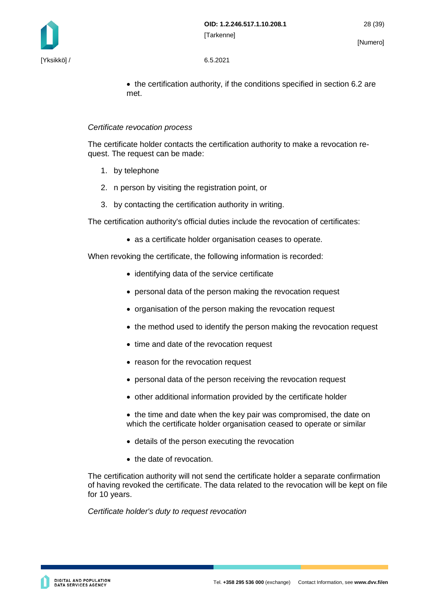

• the certification authority, if the conditions specified in section 6.2 are met.

#### *Certificate revocation process*

The certificate holder contacts the certification authority to make a revocation request. The request can be made:

- 1. by telephone
- 2. n person by visiting the registration point, or
- 3. by contacting the certification authority in writing.

The certification authority's official duties include the revocation of certificates:

• as a certificate holder organisation ceases to operate.

When revoking the certificate, the following information is recorded:

- identifying data of the service certificate
- personal data of the person making the revocation request
- organisation of the person making the revocation request
- the method used to identify the person making the revocation request
- time and date of the revocation request
- reason for the revocation request
- personal data of the person receiving the revocation request
- other additional information provided by the certificate holder
- the time and date when the key pair was compromised, the date on which the certificate holder organisation ceased to operate or similar
- details of the person executing the revocation
- the date of revocation.

The certification authority will not send the certificate holder a separate confirmation of having revoked the certificate. The data related to the revocation will be kept on file for 10 years.

*Certificate holder's duty to request revocation*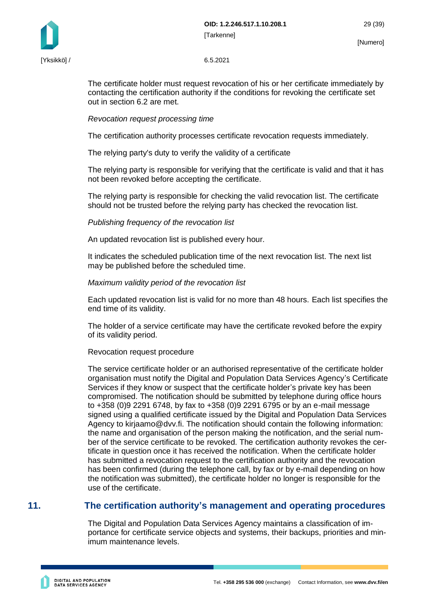

The certificate holder must request revocation of his or her certificate immediately by contacting the certification authority if the conditions for revoking the certificate set out in section 6.2 are met.

*Revocation request processing time*

The certification authority processes certificate revocation requests immediately.

The relying party's duty to verify the validity of a certificate

The relying party is responsible for verifying that the certificate is valid and that it has not been revoked before accepting the certificate.

The relying party is responsible for checking the valid revocation list. The certificate should not be trusted before the relying party has checked the revocation list.

*Publishing frequency of the revocation list*

An updated revocation list is published every hour.

It indicates the scheduled publication time of the next revocation list. The next list may be published before the scheduled time.

*Maximum validity period of the revocation list*

Each updated revocation list is valid for no more than 48 hours. Each list specifies the end time of its validity.

The holder of a service certificate may have the certificate revoked before the expiry of its validity period.

Revocation request procedure

The service certificate holder or an authorised representative of the certificate holder organisation must notify the Digital and Population Data Services Agency's Certificate Services if they know or suspect that the certificate holder's private key has been compromised. The notification should be submitted by telephone during office hours to +358 (0)9 2291 6748, by fax to +358 (0)9 2291 6795 or by an e-mail message signed using a qualified certificate issued by the Digital and Population Data Services Agency to kirjaamo@dvv.fi. The notification should contain the following information: the name and organisation of the person making the notification, and the serial number of the service certificate to be revoked. The certification authority revokes the certificate in question once it has received the notification. When the certificate holder has submitted a revocation request to the certification authority and the revocation has been confirmed (during the telephone call, by fax or by e-mail depending on how the notification was submitted), the certificate holder no longer is responsible for the use of the certificate.

## <span id="page-29-0"></span>**11. The certification authority's management and operating procedures**

The Digital and Population Data Services Agency maintains a classification of importance for certificate service objects and systems, their backups, priorities and minimum maintenance levels.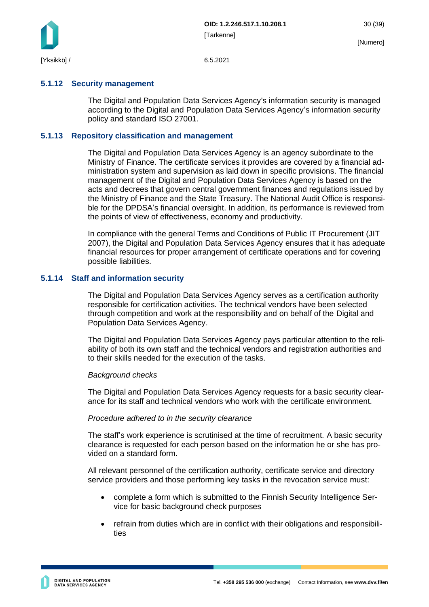

#### <span id="page-30-0"></span>**5.1.12 Security management**

The Digital and Population Data Services Agency's information security is managed according to the Digital and Population Data Services Agency's information security policy and standard ISO 27001.

#### <span id="page-30-1"></span>**5.1.13 Repository classification and management**

The Digital and Population Data Services Agency is an agency subordinate to the Ministry of Finance. The certificate services it provides are covered by a financial administration system and supervision as laid down in specific provisions. The financial management of the Digital and Population Data Services Agency is based on the acts and decrees that govern central government finances and regulations issued by the Ministry of Finance and the State Treasury. The National Audit Office is responsible for the DPDSA's financial oversight. In addition, its performance is reviewed from the points of view of effectiveness, economy and productivity.

In compliance with the general Terms and Conditions of Public IT Procurement (JIT 2007), the Digital and Population Data Services Agency ensures that it has adequate financial resources for proper arrangement of certificate operations and for covering possible liabilities.

#### <span id="page-30-2"></span>**5.1.14 Staff and information security**

The Digital and Population Data Services Agency serves as a certification authority responsible for certification activities. The technical vendors have been selected through competition and work at the responsibility and on behalf of the Digital and Population Data Services Agency.

The Digital and Population Data Services Agency pays particular attention to the reliability of both its own staff and the technical vendors and registration authorities and to their skills needed for the execution of the tasks.

#### *Background checks*

The Digital and Population Data Services Agency requests for a basic security clearance for its staff and technical vendors who work with the certificate environment.

#### *Procedure adhered to in the security clearance*

The staff's work experience is scrutinised at the time of recruitment. A basic security clearance is requested for each person based on the information he or she has provided on a standard form.

All relevant personnel of the certification authority, certificate service and directory service providers and those performing key tasks in the revocation service must:

- complete a form which is submitted to the Finnish Security Intelligence Service for basic background check purposes
- refrain from duties which are in conflict with their obligations and responsibilities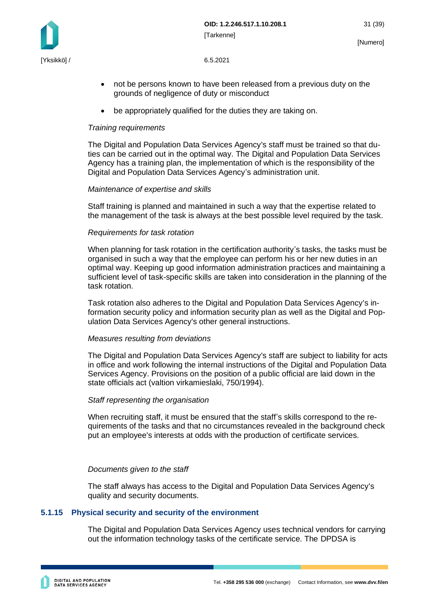

- not be persons known to have been released from a previous duty on the grounds of negligence of duty or misconduct
- be appropriately qualified for the duties they are taking on.

#### *Training requirements*

The Digital and Population Data Services Agency's staff must be trained so that duties can be carried out in the optimal way. The Digital and Population Data Services Agency has a training plan, the implementation of which is the responsibility of the Digital and Population Data Services Agency's administration unit.

#### *Maintenance of expertise and skills*

Staff training is planned and maintained in such a way that the expertise related to the management of the task is always at the best possible level required by the task.

#### *Requirements for task rotation*

When planning for task rotation in the certification authority's tasks, the tasks must be organised in such a way that the employee can perform his or her new duties in an optimal way. Keeping up good information administration practices and maintaining a sufficient level of task-specific skills are taken into consideration in the planning of the task rotation.

Task rotation also adheres to the Digital and Population Data Services Agency's information security policy and information security plan as well as the Digital and Population Data Services Agency's other general instructions.

#### *Measures resulting from deviations*

The Digital and Population Data Services Agency's staff are subject to liability for acts in office and work following the internal instructions of the Digital and Population Data Services Agency. Provisions on the position of a public official are laid down in the state officials act (valtion virkamieslaki, 750/1994).

#### *Staff representing the organisation*

When recruiting staff, it must be ensured that the staff's skills correspond to the requirements of the tasks and that no circumstances revealed in the background check put an employee's interests at odds with the production of certificate services.

#### *Documents given to the staff*

The staff always has access to the Digital and Population Data Services Agency's quality and security documents.

#### <span id="page-31-0"></span>**5.1.15 Physical security and security of the environment**

The Digital and Population Data Services Agency uses technical vendors for carrying out the information technology tasks of the certificate service. The DPDSA is

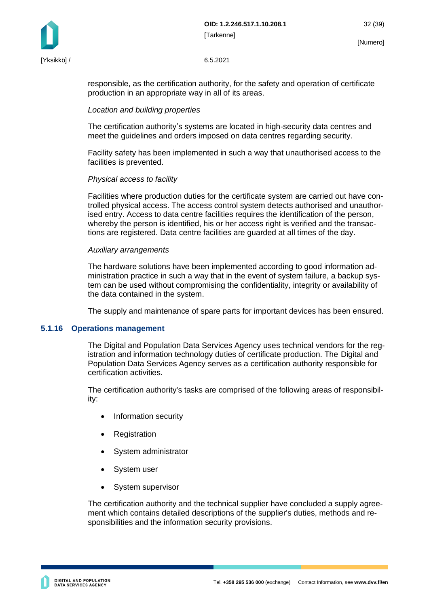

responsible, as the certification authority, for the safety and operation of certificate production in an appropriate way in all of its areas.

#### *Location and building properties*

The certification authority's systems are located in high-security data centres and meet the guidelines and orders imposed on data centres regarding security.

Facility safety has been implemented in such a way that unauthorised access to the facilities is prevented.

#### *Physical access to facility*

Facilities where production duties for the certificate system are carried out have controlled physical access. The access control system detects authorised and unauthorised entry. Access to data centre facilities requires the identification of the person, whereby the person is identified, his or her access right is verified and the transactions are registered. Data centre facilities are guarded at all times of the day.

#### *Auxiliary arrangements*

The hardware solutions have been implemented according to good information administration practice in such a way that in the event of system failure, a backup system can be used without compromising the confidentiality, integrity or availability of the data contained in the system.

The supply and maintenance of spare parts for important devices has been ensured.

#### <span id="page-32-0"></span>**5.1.16 Operations management**

The Digital and Population Data Services Agency uses technical vendors for the registration and information technology duties of certificate production. The Digital and Population Data Services Agency serves as a certification authority responsible for certification activities.

The certification authority's tasks are comprised of the following areas of responsibility:

- Information security
- **Registration**
- System administrator
- System user
- System supervisor

The certification authority and the technical supplier have concluded a supply agreement which contains detailed descriptions of the supplier's duties, methods and responsibilities and the information security provisions.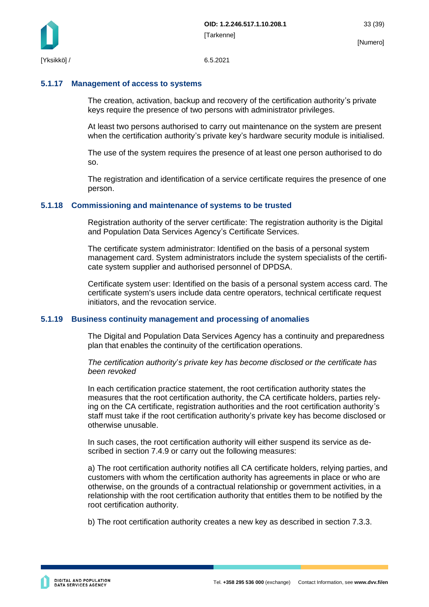

#### <span id="page-33-0"></span>**5.1.17 Management of access to systems**

The creation, activation, backup and recovery of the certification authority's private keys require the presence of two persons with administrator privileges.

At least two persons authorised to carry out maintenance on the system are present when the certification authority's private key's hardware security module is initialised.

The use of the system requires the presence of at least one person authorised to do so.

The registration and identification of a service certificate requires the presence of one person.

#### <span id="page-33-1"></span>**5.1.18 Commissioning and maintenance of systems to be trusted**

Registration authority of the server certificate: The registration authority is the Digital and Population Data Services Agency's Certificate Services.

The certificate system administrator: Identified on the basis of a personal system management card. System administrators include the system specialists of the certificate system supplier and authorised personnel of DPDSA.

Certificate system user: Identified on the basis of a personal system access card. The certificate system's users include data centre operators, technical certificate request initiators, and the revocation service.

#### <span id="page-33-2"></span>**5.1.19 Business continuity management and processing of anomalies**

The Digital and Population Data Services Agency has a continuity and preparedness plan that enables the continuity of the certification operations.

*The certification authority*'*s private key has become disclosed or the certificate has been revoked*

In each certification practice statement, the root certification authority states the measures that the root certification authority, the CA certificate holders, parties relying on the CA certificate, registration authorities and the root certification authority's staff must take if the root certification authority's private key has become disclosed or otherwise unusable.

In such cases, the root certification authority will either suspend its service as described in section 7.4.9 or carry out the following measures:

a) The root certification authority notifies all CA certificate holders, relying parties, and customers with whom the certification authority has agreements in place or who are otherwise, on the grounds of a contractual relationship or government activities, in a relationship with the root certification authority that entitles them to be notified by the root certification authority.

b) The root certification authority creates a new key as described in section 7.3.3.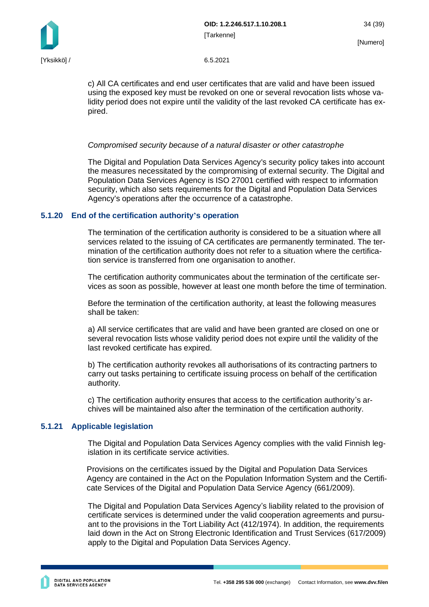

c) All CA certificates and end user certificates that are valid and have been issued using the exposed key must be revoked on one or several revocation lists whose validity period does not expire until the validity of the last revoked CA certificate has expired.

#### *Compromised security because of a natural disaster or other catastrophe*

The Digital and Population Data Services Agency's security policy takes into account the measures necessitated by the compromising of external security. The Digital and Population Data Services Agency is ISO 27001 certified with respect to information security, which also sets requirements for the Digital and Population Data Services Agency's operations after the occurrence of a catastrophe.

#### <span id="page-34-0"></span>**5.1.20 End of the certification authority's operation**

The termination of the certification authority is considered to be a situation where all services related to the issuing of CA certificates are permanently terminated. The termination of the certification authority does not refer to a situation where the certification service is transferred from one organisation to another.

The certification authority communicates about the termination of the certificate services as soon as possible, however at least one month before the time of termination.

Before the termination of the certification authority, at least the following measures shall be taken:

a) All service certificates that are valid and have been granted are closed on one or several revocation lists whose validity period does not expire until the validity of the last revoked certificate has expired.

b) The certification authority revokes all authorisations of its contracting partners to carry out tasks pertaining to certificate issuing process on behalf of the certification authority.

c) The certification authority ensures that access to the certification authority's archives will be maintained also after the termination of the certification authority.

#### <span id="page-34-1"></span>**5.1.21 Applicable legislation**

The Digital and Population Data Services Agency complies with the valid Finnish legislation in its certificate service activities.

Provisions on the certificates issued by the Digital and Population Data Services Agency are contained in the Act on the Population Information System and the Certificate Services of the Digital and Population Data Service Agency (661/2009).

The Digital and Population Data Services Agency's liability related to the provision of certificate services is determined under the valid cooperation agreements and pursuant to the provisions in the Tort Liability Act (412/1974). In addition, the requirements laid down in the Act on Strong Electronic Identification and Trust Services (617/2009) apply to the Digital and Population Data Services Agency.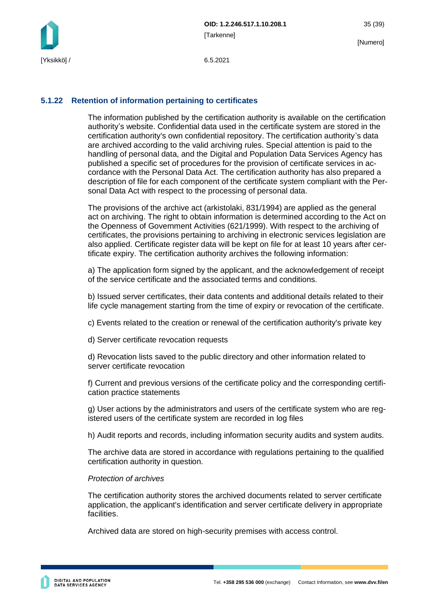

#### <span id="page-35-0"></span>**5.1.22 Retention of information pertaining to certificates**

The information published by the certification authority is available on the certification authority's website. Confidential data used in the certificate system are stored in the certification authority's own confidential repository. The certification authority's data are archived according to the valid archiving rules. Special attention is paid to the handling of personal data, and the Digital and Population Data Services Agency has published a specific set of procedures for the provision of certificate services in accordance with the Personal Data Act. The certification authority has also prepared a description of file for each component of the certificate system compliant with the Personal Data Act with respect to the processing of personal data.

The provisions of the archive act (arkistolaki, 831/1994) are applied as the general act on archiving. The right to obtain information is determined according to the Act on the Openness of Government Activities (621/1999). With respect to the archiving of certificates, the provisions pertaining to archiving in electronic services legislation are also applied. Certificate register data will be kept on file for at least 10 years after certificate expiry. The certification authority archives the following information:

a) The application form signed by the applicant, and the acknowledgement of receipt of the service certificate and the associated terms and conditions.

b) Issued server certificates, their data contents and additional details related to their life cycle management starting from the time of expiry or revocation of the certificate.

c) Events related to the creation or renewal of the certification authority's private key

d) Server certificate revocation requests

d) Revocation lists saved to the public directory and other information related to server certificate revocation

f) Current and previous versions of the certificate policy and the corresponding certification practice statements

g) User actions by the administrators and users of the certificate system who are registered users of the certificate system are recorded in log files

h) Audit reports and records, including information security audits and system audits.

The archive data are stored in accordance with regulations pertaining to the qualified certification authority in question.

#### *Protection of archives*

The certification authority stores the archived documents related to server certificate application, the applicant's identification and server certificate delivery in appropriate facilities.

Archived data are stored on high-security premises with access control.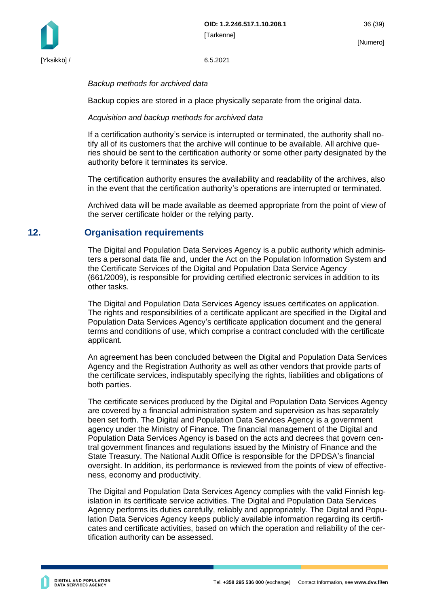

*Backup methods for archived data*

Backup copies are stored in a place physically separate from the original data.

*Acquisition and backup methods for archived data*

If a certification authority's service is interrupted or terminated, the authority shall notify all of its customers that the archive will continue to be available. All archive queries should be sent to the certification authority or some other party designated by the authority before it terminates its service.

The certification authority ensures the availability and readability of the archives, also in the event that the certification authority's operations are interrupted or terminated.

Archived data will be made available as deemed appropriate from the point of view of the server certificate holder or the relying party.

## <span id="page-36-0"></span>**12. Organisation requirements**

The Digital and Population Data Services Agency is a public authority which administers a personal data file and, under the Act on the Population Information System and the Certificate Services of the Digital and Population Data Service Agency (661/2009), is responsible for providing certified electronic services in addition to its other tasks.

The Digital and Population Data Services Agency issues certificates on application. The rights and responsibilities of a certificate applicant are specified in the Digital and Population Data Services Agency's certificate application document and the general terms and conditions of use, which comprise a contract concluded with the certificate applicant.

An agreement has been concluded between the Digital and Population Data Services Agency and the Registration Authority as well as other vendors that provide parts of the certificate services, indisputably specifying the rights, liabilities and obligations of both parties.

The certificate services produced by the Digital and Population Data Services Agency are covered by a financial administration system and supervision as has separately been set forth. The Digital and Population Data Services Agency is a government agency under the Ministry of Finance. The financial management of the Digital and Population Data Services Agency is based on the acts and decrees that govern central government finances and regulations issued by the Ministry of Finance and the State Treasury. The National Audit Office is responsible for the DPDSA's financial oversight. In addition, its performance is reviewed from the points of view of effectiveness, economy and productivity.

The Digital and Population Data Services Agency complies with the valid Finnish legislation in its certificate service activities. The Digital and Population Data Services Agency performs its duties carefully, reliably and appropriately. The Digital and Population Data Services Agency keeps publicly available information regarding its certificates and certificate activities, based on which the operation and reliability of the certification authority can be assessed.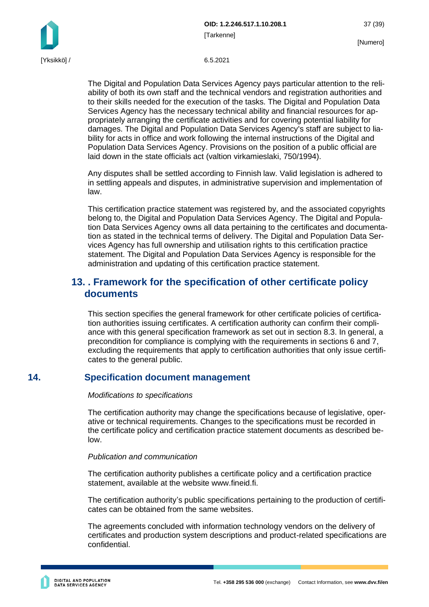**OID: 1.2.246.517.1.10.208.1** 37 (39) [Tarkenne]

The Digital and Population Data Services Agency pays particular attention to the reliability of both its own staff and the technical vendors and registration authorities and to their skills needed for the execution of the tasks. The Digital and Population Data Services Agency has the necessary technical ability and financial resources for appropriately arranging the certificate activities and for covering potential liability for damages. The Digital and Population Data Services Agency's staff are subject to liability for acts in office and work following the internal instructions of the Digital and Population Data Services Agency. Provisions on the position of a public official are laid down in the state officials act (valtion virkamieslaki, 750/1994).

Any disputes shall be settled according to Finnish law. Valid legislation is adhered to in settling appeals and disputes, in administrative supervision and implementation of law.

This certification practice statement was registered by, and the associated copyrights belong to, the Digital and Population Data Services Agency. The Digital and Population Data Services Agency owns all data pertaining to the certificates and documentation as stated in the technical terms of delivery. The Digital and Population Data Services Agency has full ownership and utilisation rights to this certification practice statement. The Digital and Population Data Services Agency is responsible for the administration and updating of this certification practice statement.

## <span id="page-37-0"></span>**13. . Framework for the specification of other certificate policy documents**

This section specifies the general framework for other certificate policies of certification authorities issuing certificates. A certification authority can confirm their compliance with this general specification framework as set out in section 8.3. In general, a precondition for compliance is complying with the requirements in sections 6 and 7, excluding the requirements that apply to certification authorities that only issue certificates to the general public.

## <span id="page-37-1"></span>**14. Specification document management**

#### *Modifications to specifications*

The certification authority may change the specifications because of legislative, operative or technical requirements. Changes to the specifications must be recorded in the certificate policy and certification practice statement documents as described below.

#### *Publication and communication*

The certification authority publishes a certificate policy and a certification practice statement, available at the website www.fineid.fi.

The certification authority's public specifications pertaining to the production of certificates can be obtained from the same websites.

The agreements concluded with information technology vendors on the delivery of certificates and production system descriptions and product-related specifications are confidential.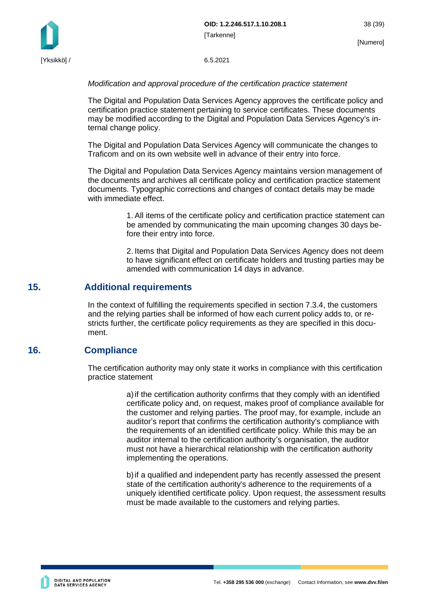

[Yksikkö] / 6.5.2021

#### *Modification and approval procedure of the certification practice statement*

The Digital and Population Data Services Agency approves the certificate policy and certification practice statement pertaining to service certificates. These documents may be modified according to the Digital and Population Data Services Agency's internal change policy.

The Digital and Population Data Services Agency will communicate the changes to Traficom and on its own website well in advance of their entry into force.

The Digital and Population Data Services Agency maintains version management of the documents and archives all certificate policy and certification practice statement documents. Typographic corrections and changes of contact details may be made with immediate effect.

> 1. All items of the certificate policy and certification practice statement can be amended by communicating the main upcoming changes 30 days before their entry into force.

> 2. Items that Digital and Population Data Services Agency does not deem to have significant effect on certificate holders and trusting parties may be amended with communication 14 days in advance.

## <span id="page-38-0"></span>**15. Additional requirements**

In the context of fulfilling the requirements specified in section 7.3.4, the customers and the relying parties shall be informed of how each current policy adds to, or restricts further, the certificate policy requirements as they are specified in this document.

## <span id="page-38-1"></span>**16. Compliance**

The certification authority may only state it works in compliance with this certification practice statement

> a)if the certification authority confirms that they comply with an identified certificate policy and, on request, makes proof of compliance available for the customer and relying parties. The proof may, for example, include an auditor's report that confirms the certification authority's compliance with the requirements of an identified certificate policy. While this may be an auditor internal to the certification authority's organisation, the auditor must not have a hierarchical relationship with the certification authority implementing the operations.

> b)if a qualified and independent party has recently assessed the present state of the certification authority's adherence to the requirements of a uniquely identified certificate policy. Upon request, the assessment results must be made available to the customers and relying parties.